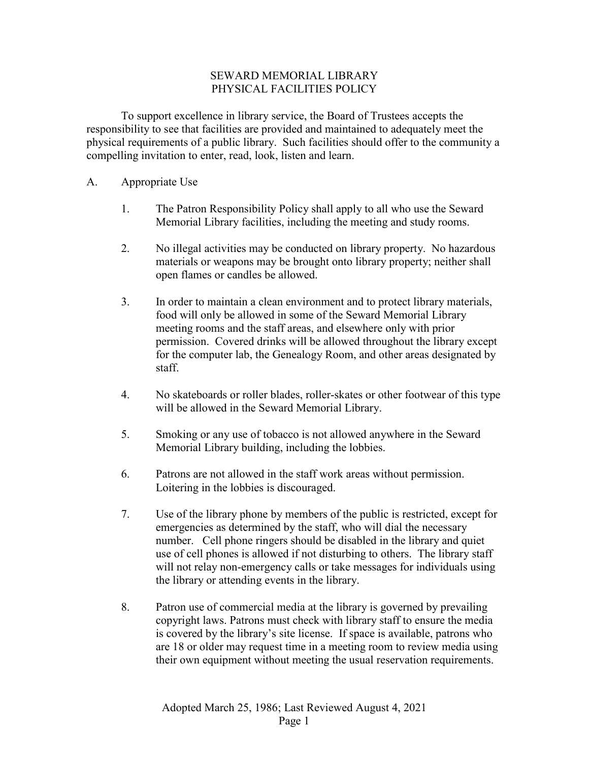## SEWARD MEMORIAL LIBRARY PHYSICAL FACILITIES POLICY

To support excellence in library service, the Board of Trustees accepts the responsibility to see that facilities are provided and maintained to adequately meet the physical requirements of a public library. Such facilities should offer to the community a compelling invitation to enter, read, look, listen and learn.

- A. Appropriate Use
	- 1. The Patron Responsibility Policy shall apply to all who use the Seward Memorial Library facilities, including the meeting and study rooms.
	- 2. No illegal activities may be conducted on library property. No hazardous materials or weapons may be brought onto library property; neither shall open flames or candles be allowed.
	- 3. In order to maintain a clean environment and to protect library materials, food will only be allowed in some of the Seward Memorial Library meeting rooms and the staff areas, and elsewhere only with prior permission. Covered drinks will be allowed throughout the library except for the computer lab, the Genealogy Room, and other areas designated by staff.
	- 4. No skateboards or roller blades, roller-skates or other footwear of this type will be allowed in the Seward Memorial Library.
	- 5. Smoking or any use of tobacco is not allowed anywhere in the Seward Memorial Library building, including the lobbies.
	- 6. Patrons are not allowed in the staff work areas without permission. Loitering in the lobbies is discouraged.
	- 7. Use of the library phone by members of the public is restricted, except for emergencies as determined by the staff, who will dial the necessary number. Cell phone ringers should be disabled in the library and quiet use of cell phones is allowed if not disturbing to others. The library staff will not relay non-emergency calls or take messages for individuals using the library or attending events in the library.
	- 8. Patron use of commercial media at the library is governed by prevailing copyright laws. Patrons must check with library staff to ensure the media is covered by the library's site license. If space is available, patrons who are 18 or older may request time in a meeting room to review media using their own equipment without meeting the usual reservation requirements.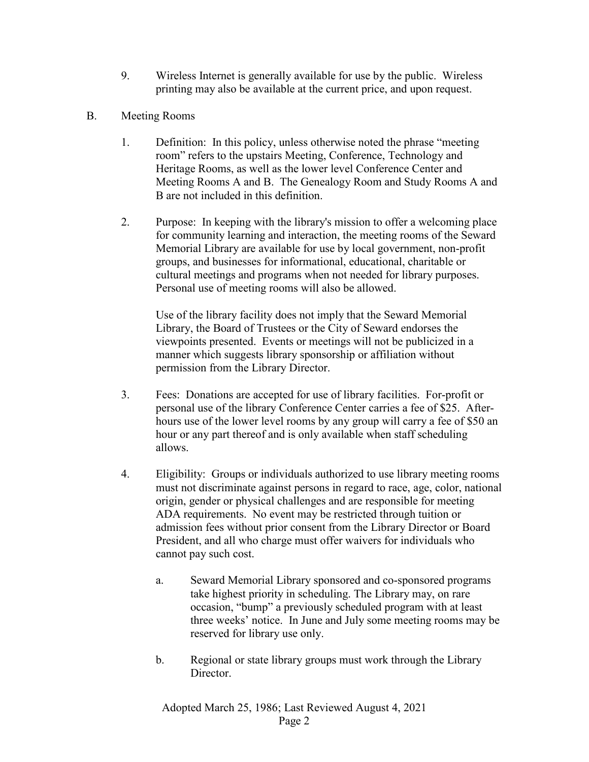- 9. Wireless Internet is generally available for use by the public. Wireless printing may also be available at the current price, and upon request.
- B. Meeting Rooms
	- 1. Definition: In this policy, unless otherwise noted the phrase "meeting room" refers to the upstairs Meeting, Conference, Technology and Heritage Rooms, as well as the lower level Conference Center and Meeting Rooms A and B. The Genealogy Room and Study Rooms A and B are not included in this definition.
	- 2. Purpose: In keeping with the library's mission to offer a welcoming place for community learning and interaction, the meeting rooms of the Seward Memorial Library are available for use by local government, non-profit groups, and businesses for informational, educational, charitable or cultural meetings and programs when not needed for library purposes. Personal use of meeting rooms will also be allowed.

Use of the library facility does not imply that the Seward Memorial Library, the Board of Trustees or the City of Seward endorses the viewpoints presented. Events or meetings will not be publicized in a manner which suggests library sponsorship or affiliation without permission from the Library Director.

- 3. Fees: Donations are accepted for use of library facilities. For-profit or personal use of the library Conference Center carries a fee of \$25. Afterhours use of the lower level rooms by any group will carry a fee of \$50 an hour or any part thereof and is only available when staff scheduling allows.
- 4. Eligibility: Groups or individuals authorized to use library meeting rooms must not discriminate against persons in regard to race, age, color, national origin, gender or physical challenges and are responsible for meeting ADA requirements. No event may be restricted through tuition or admission fees without prior consent from the Library Director or Board President, and all who charge must offer waivers for individuals who cannot pay such cost.
	- a. Seward Memorial Library sponsored and co-sponsored programs take highest priority in scheduling. The Library may, on rare occasion, "bump" a previously scheduled program with at least three weeks' notice. In June and July some meeting rooms may be reserved for library use only.
	- b. Regional or state library groups must work through the Library Director.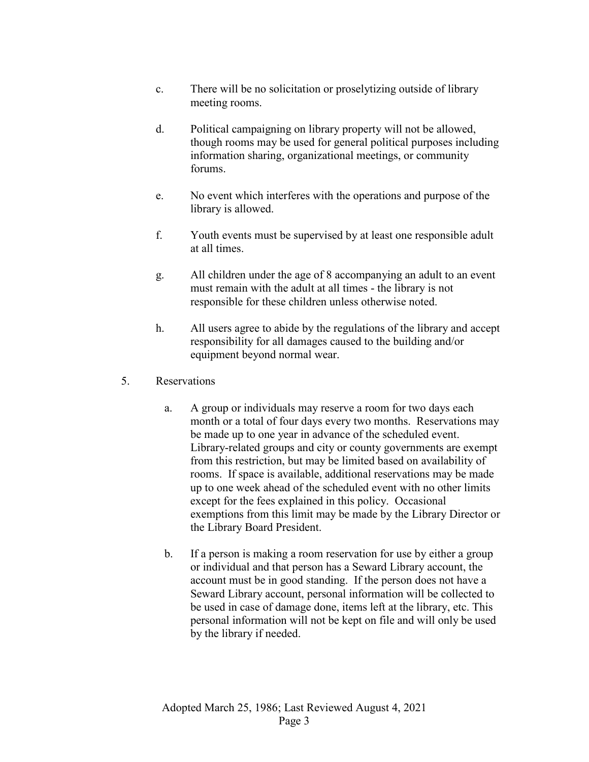- c. There will be no solicitation or proselytizing outside of library meeting rooms.
- d. Political campaigning on library property will not be allowed, though rooms may be used for general political purposes including information sharing, organizational meetings, or community forums.
- e. No event which interferes with the operations and purpose of the library is allowed.
- f. Youth events must be supervised by at least one responsible adult at all times.
- g. All children under the age of 8 accompanying an adult to an event must remain with the adult at all times - the library is not responsible for these children unless otherwise noted.
- h. All users agree to abide by the regulations of the library and accept responsibility for all damages caused to the building and/or equipment beyond normal wear.
- 5. Reservations
	- a. A group or individuals may reserve a room for two days each month or a total of four days every two months. Reservations may be made up to one year in advance of the scheduled event. Library-related groups and city or county governments are exempt from this restriction, but may be limited based on availability of rooms. If space is available, additional reservations may be made up to one week ahead of the scheduled event with no other limits except for the fees explained in this policy. Occasional exemptions from this limit may be made by the Library Director or the Library Board President.
	- b. If a person is making a room reservation for use by either a group or individual and that person has a Seward Library account, the account must be in good standing. If the person does not have a Seward Library account, personal information will be collected to be used in case of damage done, items left at the library, etc. This personal information will not be kept on file and will only be used by the library if needed.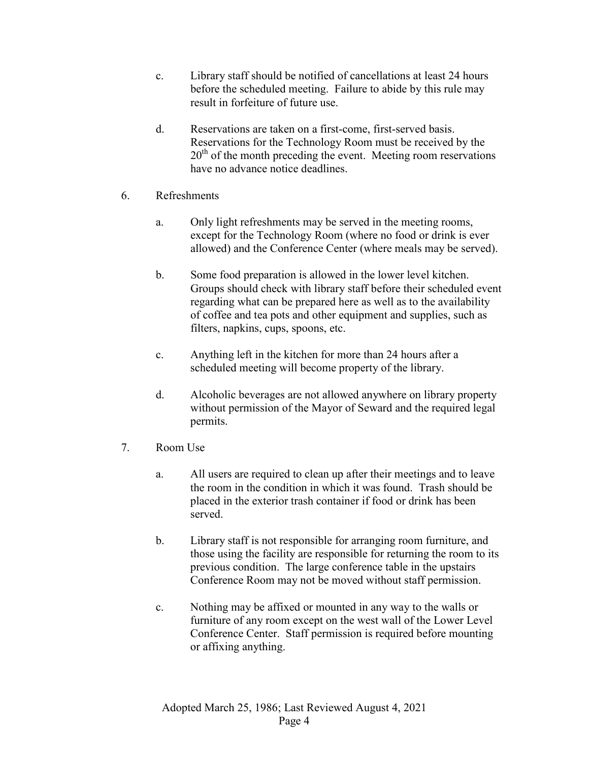- c. Library staff should be notified of cancellations at least 24 hours before the scheduled meeting. Failure to abide by this rule may result in forfeiture of future use.
- d. Reservations are taken on a first-come, first-served basis. Reservations for the Technology Room must be received by the 20<sup>th</sup> of the month preceding the event. Meeting room reservations have no advance notice deadlines.
- 6. Refreshments
	- a. Only light refreshments may be served in the meeting rooms, except for the Technology Room (where no food or drink is ever allowed) and the Conference Center (where meals may be served).
	- b. Some food preparation is allowed in the lower level kitchen. Groups should check with library staff before their scheduled event regarding what can be prepared here as well as to the availability of coffee and tea pots and other equipment and supplies, such as filters, napkins, cups, spoons, etc.
	- c. Anything left in the kitchen for more than 24 hours after a scheduled meeting will become property of the library.
	- d. Alcoholic beverages are not allowed anywhere on library property without permission of the Mayor of Seward and the required legal permits.
- 7. Room Use
	- a. All users are required to clean up after their meetings and to leave the room in the condition in which it was found. Trash should be placed in the exterior trash container if food or drink has been served.
	- b. Library staff is not responsible for arranging room furniture, and those using the facility are responsible for returning the room to its previous condition. The large conference table in the upstairs Conference Room may not be moved without staff permission.
	- c. Nothing may be affixed or mounted in any way to the walls or furniture of any room except on the west wall of the Lower Level Conference Center. Staff permission is required before mounting or affixing anything.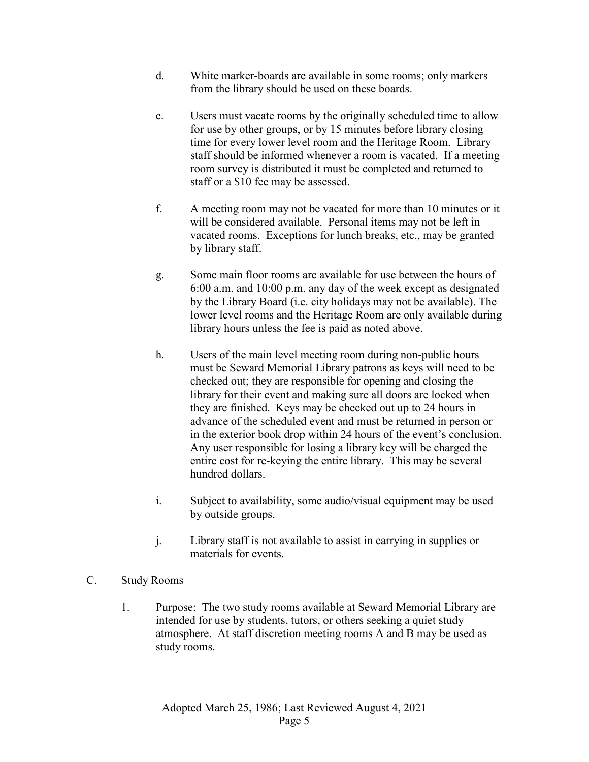- d. White marker-boards are available in some rooms; only markers from the library should be used on these boards.
- e. Users must vacate rooms by the originally scheduled time to allow for use by other groups, or by 15 minutes before library closing time for every lower level room and the Heritage Room. Library staff should be informed whenever a room is vacated. If a meeting room survey is distributed it must be completed and returned to staff or a \$10 fee may be assessed.
- f. A meeting room may not be vacated for more than 10 minutes or it will be considered available. Personal items may not be left in vacated rooms. Exceptions for lunch breaks, etc., may be granted by library staff.
- g. Some main floor rooms are available for use between the hours of 6:00 a.m. and 10:00 p.m. any day of the week except as designated by the Library Board (i.e. city holidays may not be available). The lower level rooms and the Heritage Room are only available during library hours unless the fee is paid as noted above.
- h. Users of the main level meeting room during non-public hours must be Seward Memorial Library patrons as keys will need to be checked out; they are responsible for opening and closing the library for their event and making sure all doors are locked when they are finished. Keys may be checked out up to 24 hours in advance of the scheduled event and must be returned in person or in the exterior book drop within 24 hours of the event's conclusion. Any user responsible for losing a library key will be charged the entire cost for re-keying the entire library. This may be several hundred dollars.
- i. Subject to availability, some audio/visual equipment may be used by outside groups.
- j. Library staff is not available to assist in carrying in supplies or materials for events.
- C. Study Rooms
	- 1. Purpose: The two study rooms available at Seward Memorial Library are intended for use by students, tutors, or others seeking a quiet study atmosphere. At staff discretion meeting rooms A and B may be used as study rooms.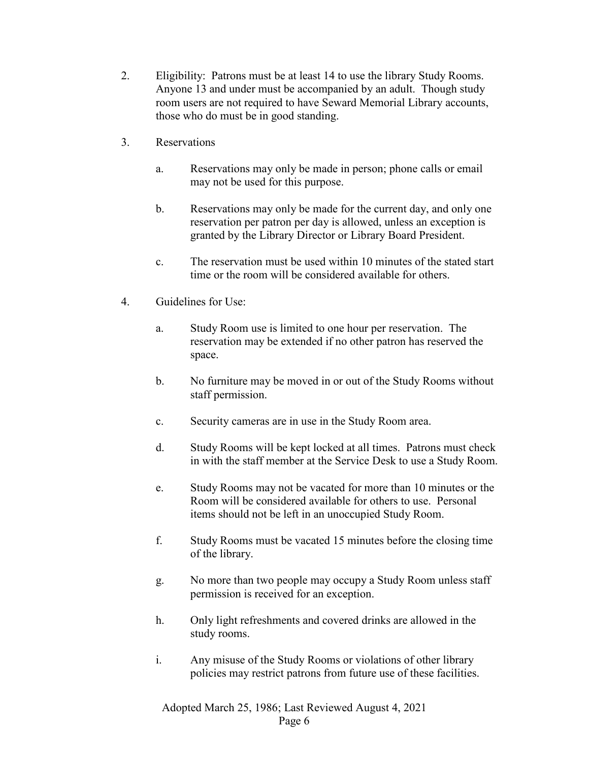- 2. Eligibility: Patrons must be at least 14 to use the library Study Rooms. Anyone 13 and under must be accompanied by an adult. Though study room users are not required to have Seward Memorial Library accounts, those who do must be in good standing.
- 3. Reservations
	- a. Reservations may only be made in person; phone calls or email may not be used for this purpose.
	- b. Reservations may only be made for the current day, and only one reservation per patron per day is allowed, unless an exception is granted by the Library Director or Library Board President.
	- c. The reservation must be used within 10 minutes of the stated start time or the room will be considered available for others.
- 4. Guidelines for Use:
	- a. Study Room use is limited to one hour per reservation. The reservation may be extended if no other patron has reserved the space.
	- b. No furniture may be moved in or out of the Study Rooms without staff permission.
	- c. Security cameras are in use in the Study Room area.
	- d. Study Rooms will be kept locked at all times. Patrons must check in with the staff member at the Service Desk to use a Study Room.
	- e. Study Rooms may not be vacated for more than 10 minutes or the Room will be considered available for others to use. Personal items should not be left in an unoccupied Study Room.
	- f. Study Rooms must be vacated 15 minutes before the closing time of the library.
	- g. No more than two people may occupy a Study Room unless staff permission is received for an exception.
	- h. Only light refreshments and covered drinks are allowed in the study rooms.
	- i. Any misuse of the Study Rooms or violations of other library policies may restrict patrons from future use of these facilities.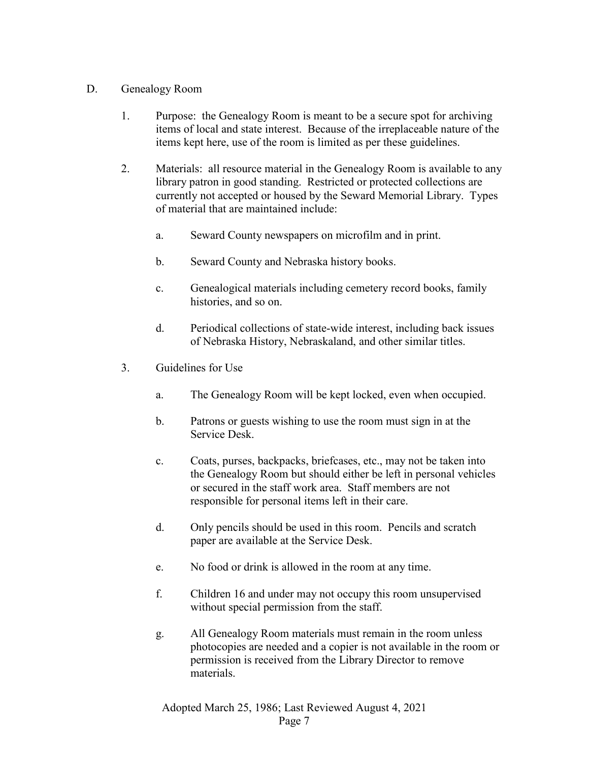## D. Genealogy Room

- 1. Purpose: the Genealogy Room is meant to be a secure spot for archiving items of local and state interest. Because of the irreplaceable nature of the items kept here, use of the room is limited as per these guidelines.
- 2. Materials: all resource material in the Genealogy Room is available to any library patron in good standing. Restricted or protected collections are currently not accepted or housed by the Seward Memorial Library. Types of material that are maintained include:
	- a. Seward County newspapers on microfilm and in print.
	- b. Seward County and Nebraska history books.
	- c. Genealogical materials including cemetery record books, family histories, and so on.
	- d. Periodical collections of state-wide interest, including back issues of Nebraska History, Nebraskaland, and other similar titles.
- 3. Guidelines for Use
	- a. The Genealogy Room will be kept locked, even when occupied.
	- b. Patrons or guests wishing to use the room must sign in at the Service Desk.
	- c. Coats, purses, backpacks, briefcases, etc., may not be taken into the Genealogy Room but should either be left in personal vehicles or secured in the staff work area. Staff members are not responsible for personal items left in their care.
	- d. Only pencils should be used in this room. Pencils and scratch paper are available at the Service Desk.
	- e. No food or drink is allowed in the room at any time.
	- f. Children 16 and under may not occupy this room unsupervised without special permission from the staff.
	- g. All Genealogy Room materials must remain in the room unless photocopies are needed and a copier is not available in the room or permission is received from the Library Director to remove materials.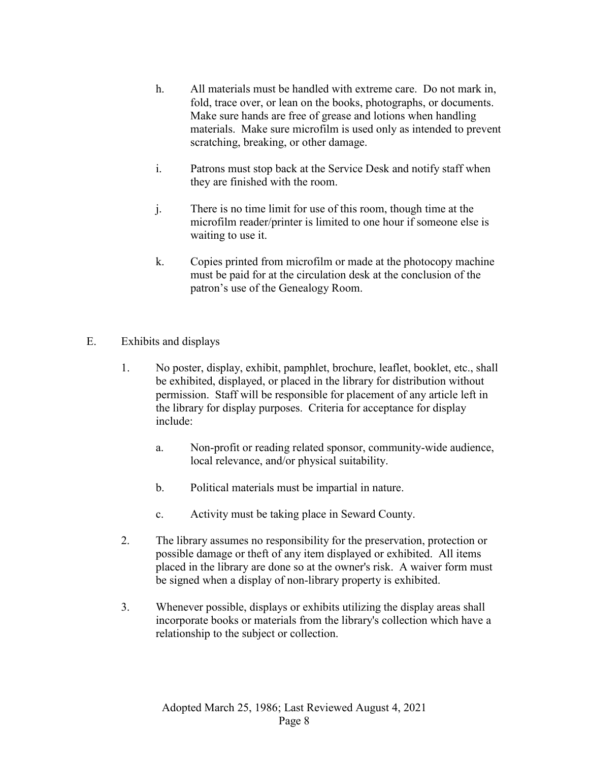- h. All materials must be handled with extreme care. Do not mark in, fold, trace over, or lean on the books, photographs, or documents. Make sure hands are free of grease and lotions when handling materials. Make sure microfilm is used only as intended to prevent scratching, breaking, or other damage.
- i. Patrons must stop back at the Service Desk and notify staff when they are finished with the room.
- j. There is no time limit for use of this room, though time at the microfilm reader/printer is limited to one hour if someone else is waiting to use it.
- k. Copies printed from microfilm or made at the photocopy machine must be paid for at the circulation desk at the conclusion of the patron's use of the Genealogy Room.
- E. Exhibits and displays
	- 1. No poster, display, exhibit, pamphlet, brochure, leaflet, booklet, etc., shall be exhibited, displayed, or placed in the library for distribution without permission. Staff will be responsible for placement of any article left in the library for display purposes. Criteria for acceptance for display include:
		- a. Non-profit or reading related sponsor, community-wide audience, local relevance, and/or physical suitability.
		- b. Political materials must be impartial in nature.
		- c. Activity must be taking place in Seward County.
	- 2. The library assumes no responsibility for the preservation, protection or possible damage or theft of any item displayed or exhibited. All items placed in the library are done so at the owner's risk. A waiver form must be signed when a display of non-library property is exhibited.
	- 3. Whenever possible, displays or exhibits utilizing the display areas shall incorporate books or materials from the library's collection which have a relationship to the subject or collection.